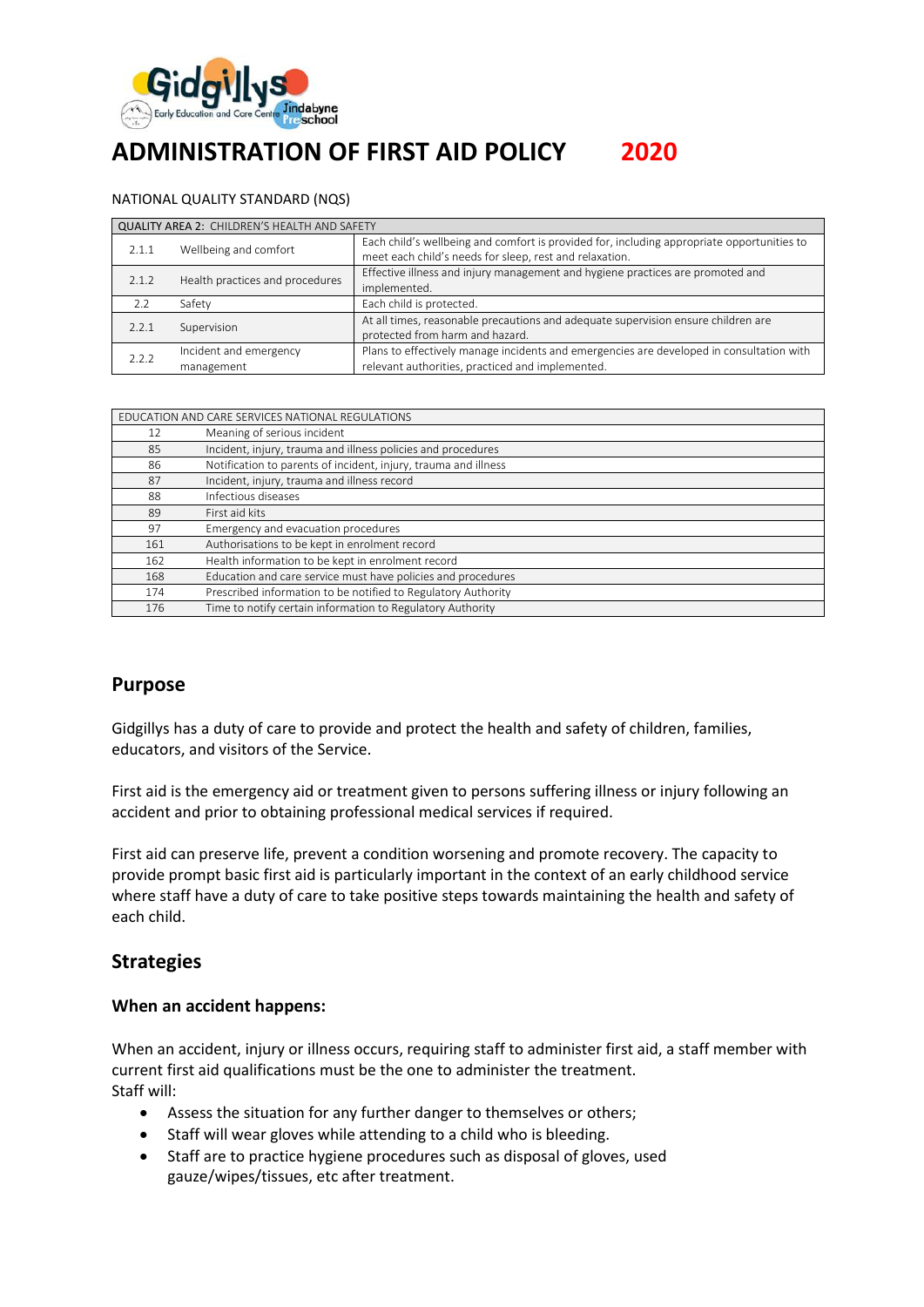

# **ADMINISTRATION OF FIRST AID POLICY 2020**

#### NATIONAL QUALITY STANDARD (NQS)

| <b>QUALITY AREA 2: CHILDREN'S HEALTH AND SAFETY</b> |                                      |                                                                                                                                                       |  |  |  |
|-----------------------------------------------------|--------------------------------------|-------------------------------------------------------------------------------------------------------------------------------------------------------|--|--|--|
| 2.1.1                                               | Wellbeing and comfort                | Each child's wellbeing and comfort is provided for, including appropriate opportunities to<br>meet each child's needs for sleep, rest and relaxation. |  |  |  |
| 2.1.2                                               | Health practices and procedures      | Effective illness and injury management and hygiene practices are promoted and<br>implemented.                                                        |  |  |  |
| 7.7                                                 | Safety                               | Each child is protected.                                                                                                                              |  |  |  |
| 2.2.1                                               | Supervision                          | At all times, reasonable precautions and adequate supervision ensure children are<br>protected from harm and hazard.                                  |  |  |  |
| 2.2.2                                               | Incident and emergency<br>management | Plans to effectively manage incidents and emergencies are developed in consultation with<br>relevant authorities, practiced and implemented.          |  |  |  |

| EDUCATION AND CARE SERVICES NATIONAL REGULATIONS |                                                                 |  |
|--------------------------------------------------|-----------------------------------------------------------------|--|
| 12                                               | Meaning of serious incident                                     |  |
| 85                                               | Incident, injury, trauma and illness policies and procedures    |  |
| 86                                               | Notification to parents of incident, injury, trauma and illness |  |
| 87                                               | Incident, injury, trauma and illness record                     |  |
| 88                                               | Infectious diseases                                             |  |
| 89                                               | First aid kits                                                  |  |
| 97                                               | Emergency and evacuation procedures                             |  |
| 161                                              | Authorisations to be kept in enrolment record                   |  |
| 162                                              | Health information to be kept in enrolment record               |  |
| 168                                              | Education and care service must have policies and procedures    |  |
| 174                                              | Prescribed information to be notified to Regulatory Authority   |  |
| 176                                              | Time to notify certain information to Regulatory Authority      |  |

### **Purpose**

Gidgillys has a duty of care to provide and protect the health and safety of children, families, educators, and visitors of the Service.

First aid is the emergency aid or treatment given to persons suffering illness or injury following an accident and prior to obtaining professional medical services if required.

First aid can preserve life, prevent a condition worsening and promote recovery. The capacity to provide prompt basic first aid is particularly important in the context of an early childhood service where staff have a duty of care to take positive steps towards maintaining the health and safety of each child.

### **Strategies**

#### **When an accident happens:**

When an accident, injury or illness occurs, requiring staff to administer first aid, a staff member with current first aid qualifications must be the one to administer the treatment. Staff will:

- Assess the situation for any further danger to themselves or others;
- Staff will wear gloves while attending to a child who is bleeding.
- Staff are to practice hygiene procedures such as disposal of gloves, used gauze/wipes/tissues, etc after treatment.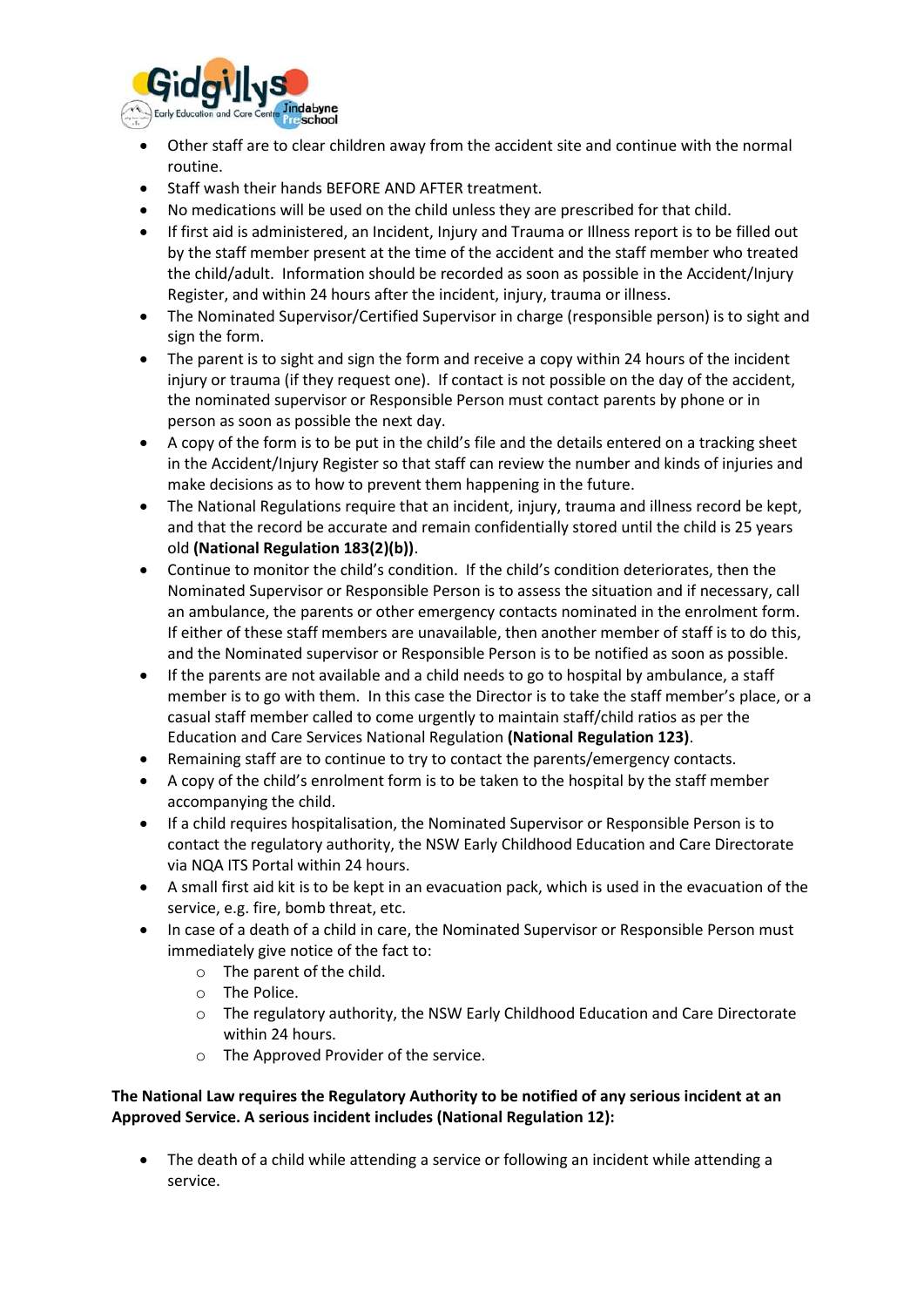

- Other staff are to clear children away from the accident site and continue with the normal routine.
- Staff wash their hands BEFORE AND AFTER treatment.
- No medications will be used on the child unless they are prescribed for that child.
- If first aid is administered, an Incident, Injury and Trauma or Illness report is to be filled out by the staff member present at the time of the accident and the staff member who treated the child/adult. Information should be recorded as soon as possible in the Accident/Injury Register, and within 24 hours after the incident, injury, trauma or illness.
- The Nominated Supervisor/Certified Supervisor in charge (responsible person) is to sight and sign the form.
- The parent is to sight and sign the form and receive a copy within 24 hours of the incident injury or trauma (if they request one). If contact is not possible on the day of the accident, the nominated supervisor or Responsible Person must contact parents by phone or in person as soon as possible the next day.
- A copy of the form is to be put in the child's file and the details entered on a tracking sheet in the Accident/Injury Register so that staff can review the number and kinds of injuries and make decisions as to how to prevent them happening in the future.
- The National Regulations require that an incident, injury, trauma and illness record be kept, and that the record be accurate and remain confidentially stored until the child is 25 years old **(National Regulation 183(2)(b))**.
- Continue to monitor the child's condition. If the child's condition deteriorates, then the Nominated Supervisor or Responsible Person is to assess the situation and if necessary, call an ambulance, the parents or other emergency contacts nominated in the enrolment form. If either of these staff members are unavailable, then another member of staff is to do this, and the Nominated supervisor or Responsible Person is to be notified as soon as possible.
- If the parents are not available and a child needs to go to hospital by ambulance, a staff member is to go with them. In this case the Director is to take the staff member's place, or a casual staff member called to come urgently to maintain staff/child ratios as per the Education and Care Services National Regulation **(National Regulation 123)**.
- Remaining staff are to continue to try to contact the parents/emergency contacts.
- A copy of the child's enrolment form is to be taken to the hospital by the staff member accompanying the child.
- If a child requires hospitalisation, the Nominated Supervisor or Responsible Person is to contact the regulatory authority, the NSW Early Childhood Education and Care Directorate via NQA ITS Portal within 24 hours.
- A small first aid kit is to be kept in an evacuation pack, which is used in the evacuation of the service, e.g. fire, bomb threat, etc.
- In case of a death of a child in care, the Nominated Supervisor or Responsible Person must immediately give notice of the fact to:
	- o The parent of the child.
	- o The Police.
	- o The regulatory authority, the NSW Early Childhood Education and Care Directorate within 24 hours.
	- o The Approved Provider of the service.

#### **The National Law requires the Regulatory Authority to be notified of any serious incident at an Approved Service. A serious incident includes (National Regulation 12):**

• The death of a child while attending a service or following an incident while attending a service.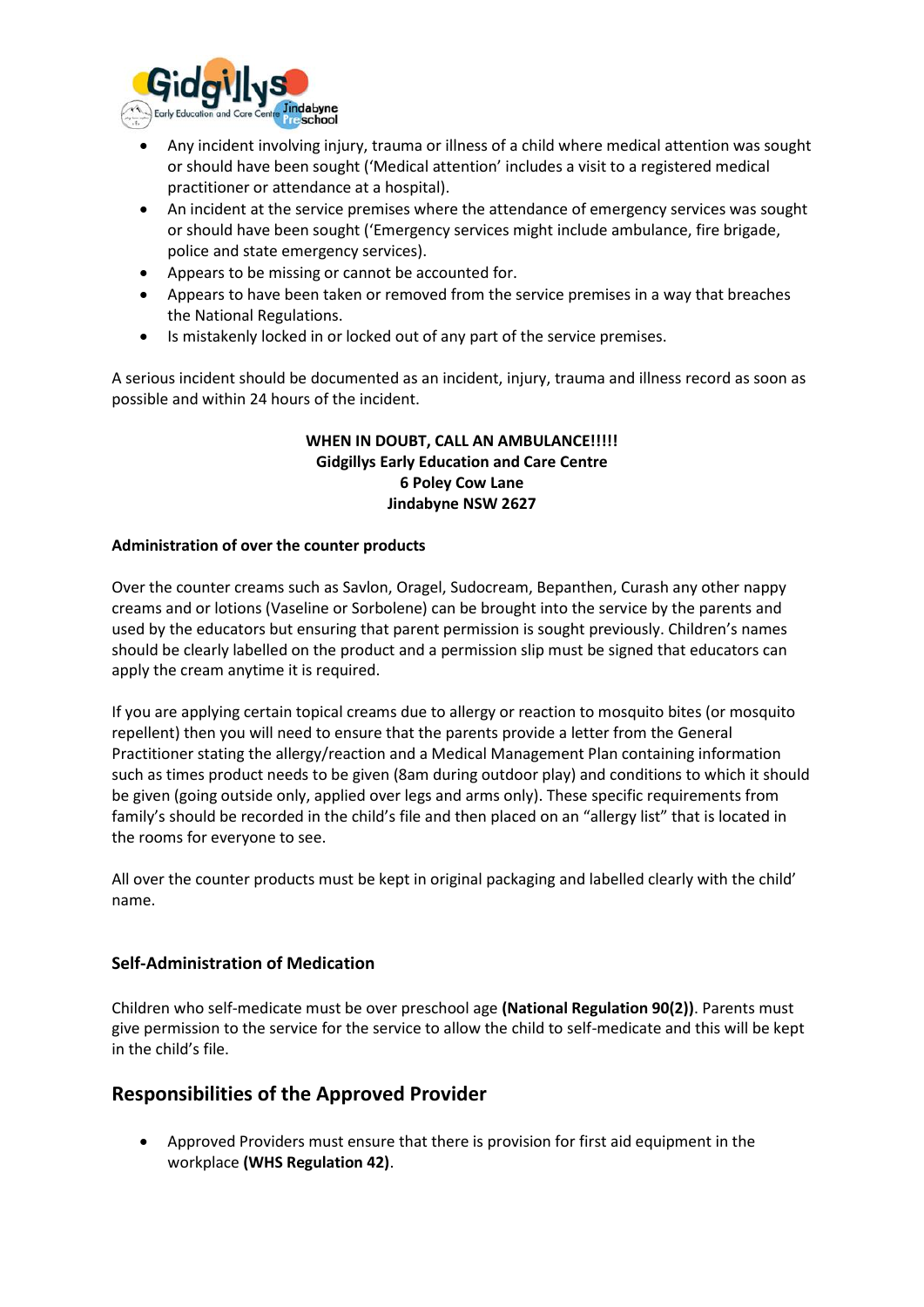

- Any incident involving injury, trauma or illness of a child where medical attention was sought or should have been sought ('Medical attention' includes a visit to a registered medical practitioner or attendance at a hospital).
- An incident at the service premises where the attendance of emergency services was sought or should have been sought ('Emergency services might include ambulance, fire brigade, police and state emergency services).
- Appears to be missing or cannot be accounted for.
- Appears to have been taken or removed from the service premises in a way that breaches the National Regulations.
- Is mistakenly locked in or locked out of any part of the service premises.

A serious incident should be documented as an incident, injury, trauma and illness record as soon as possible and within 24 hours of the incident.

#### **WHEN IN DOUBT, CALL AN AMBULANCE!!!!! Gidgillys Early Education and Care Centre 6 Poley Cow Lane Jindabyne NSW 2627**

#### **Administration of over the counter products**

Over the counter creams such as Savlon, Oragel, Sudocream, Bepanthen, Curash any other nappy creams and or lotions (Vaseline or Sorbolene) can be brought into the service by the parents and used by the educators but ensuring that parent permission is sought previously. Children's names should be clearly labelled on the product and a permission slip must be signed that educators can apply the cream anytime it is required.

If you are applying certain topical creams due to allergy or reaction to mosquito bites (or mosquito repellent) then you will need to ensure that the parents provide a letter from the General Practitioner stating the allergy/reaction and a Medical Management Plan containing information such as times product needs to be given (8am during outdoor play) and conditions to which it should be given (going outside only, applied over legs and arms only). These specific requirements from family's should be recorded in the child's file and then placed on an "allergy list" that is located in the rooms for everyone to see.

All over the counter products must be kept in original packaging and labelled clearly with the child' name.

#### **Self-Administration of Medication**

Children who self-medicate must be over preschool age **(National Regulation 90(2))**. Parents must give permission to the service for the service to allow the child to self-medicate and this will be kept in the child's file.

### **Responsibilities of the Approved Provider**

• Approved Providers must ensure that there is provision for first aid equipment in the workplace **(WHS Regulation 42)**.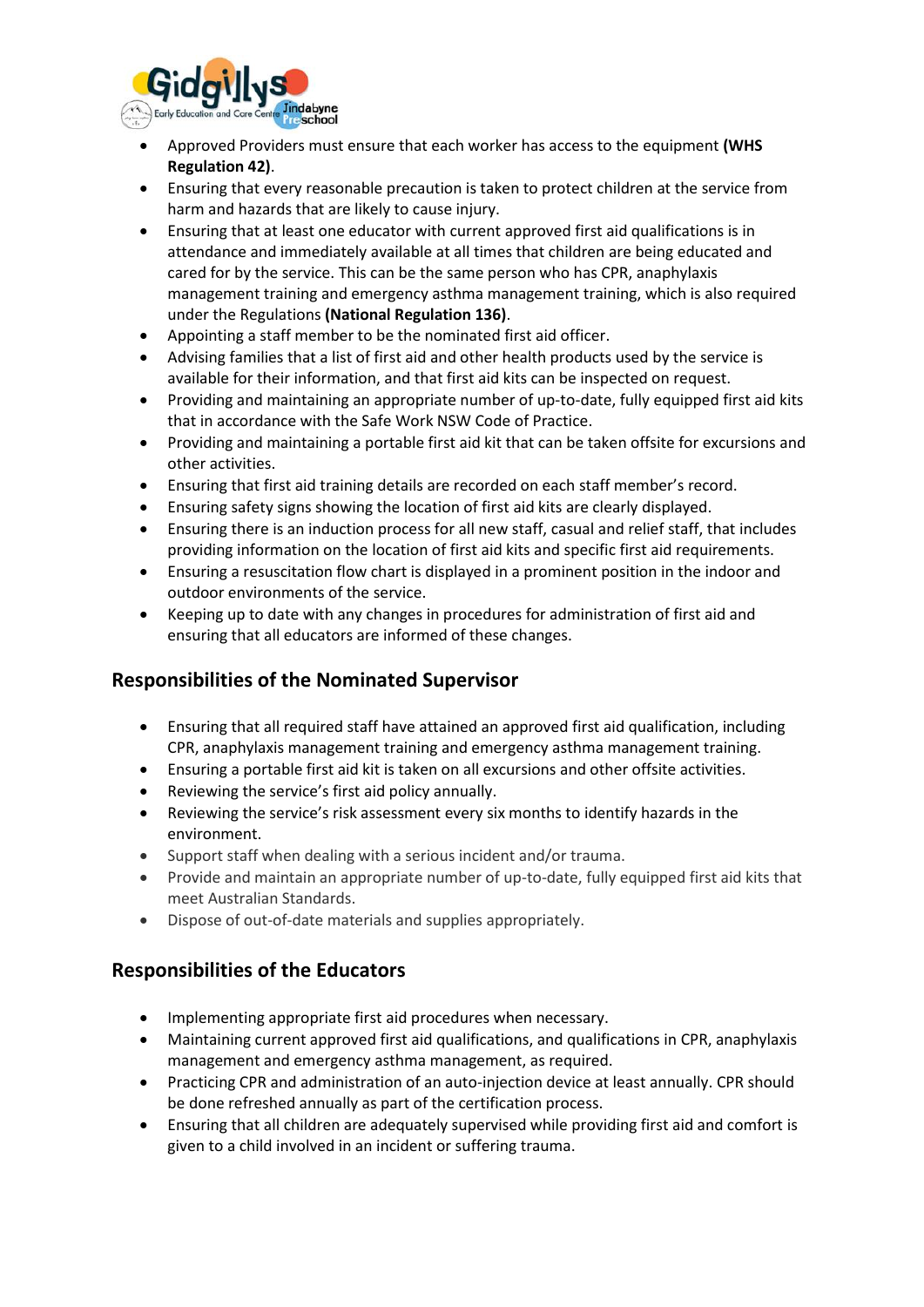

- Approved Providers must ensure that each worker has access to the equipment **(WHS Regulation 42)**.
- Ensuring that every reasonable precaution is taken to protect children at the service from harm and hazards that are likely to cause injury.
- Ensuring that at least one educator with current approved first aid qualifications is in attendance and immediately available at all times that children are being educated and cared for by the service. This can be the same person who has CPR, anaphylaxis management training and emergency asthma management training, which is also required under the Regulations **(National Regulation 136)**.
- Appointing a staff member to be the nominated first aid officer.
- Advising families that a list of first aid and other health products used by the service is available for their information, and that first aid kits can be inspected on request.
- Providing and maintaining an appropriate number of up-to-date, fully equipped first aid kits that in accordance with the Safe Work NSW Code of Practice.
- Providing and maintaining a portable first aid kit that can be taken offsite for excursions and other activities.
- Ensuring that first aid training details are recorded on each staff member's record.
- Ensuring safety signs showing the location of first aid kits are clearly displayed.
- Ensuring there is an induction process for all new staff, casual and relief staff, that includes providing information on the location of first aid kits and specific first aid requirements.
- Ensuring a resuscitation flow chart is displayed in a prominent position in the indoor and outdoor environments of the service.
- Keeping up to date with any changes in procedures for administration of first aid and ensuring that all educators are informed of these changes.

### **Responsibilities of the Nominated Supervisor**

- Ensuring that all required staff have attained an approved first aid qualification, including CPR, anaphylaxis management training and emergency asthma management training.
- Ensuring a portable first aid kit is taken on all excursions and other offsite activities.
- Reviewing the service's first aid policy annually.
- Reviewing the service's risk assessment every six months to identify hazards in the environment.
- Support staff when dealing with a serious incident and/or trauma.
- Provide and maintain an appropriate number of up-to-date, fully equipped first aid kits that meet Australian Standards.
- Dispose of out-of-date materials and supplies appropriately.

# **Responsibilities of the Educators**

- Implementing appropriate first aid procedures when necessary.
- Maintaining current approved first aid qualifications, and qualifications in CPR, anaphylaxis management and emergency asthma management, as required.
- Practicing CPR and administration of an auto-injection device at least annually. CPR should be done refreshed annually as part of the certification process.
- Ensuring that all children are adequately supervised while providing first aid and comfort is given to a child involved in an incident or suffering trauma.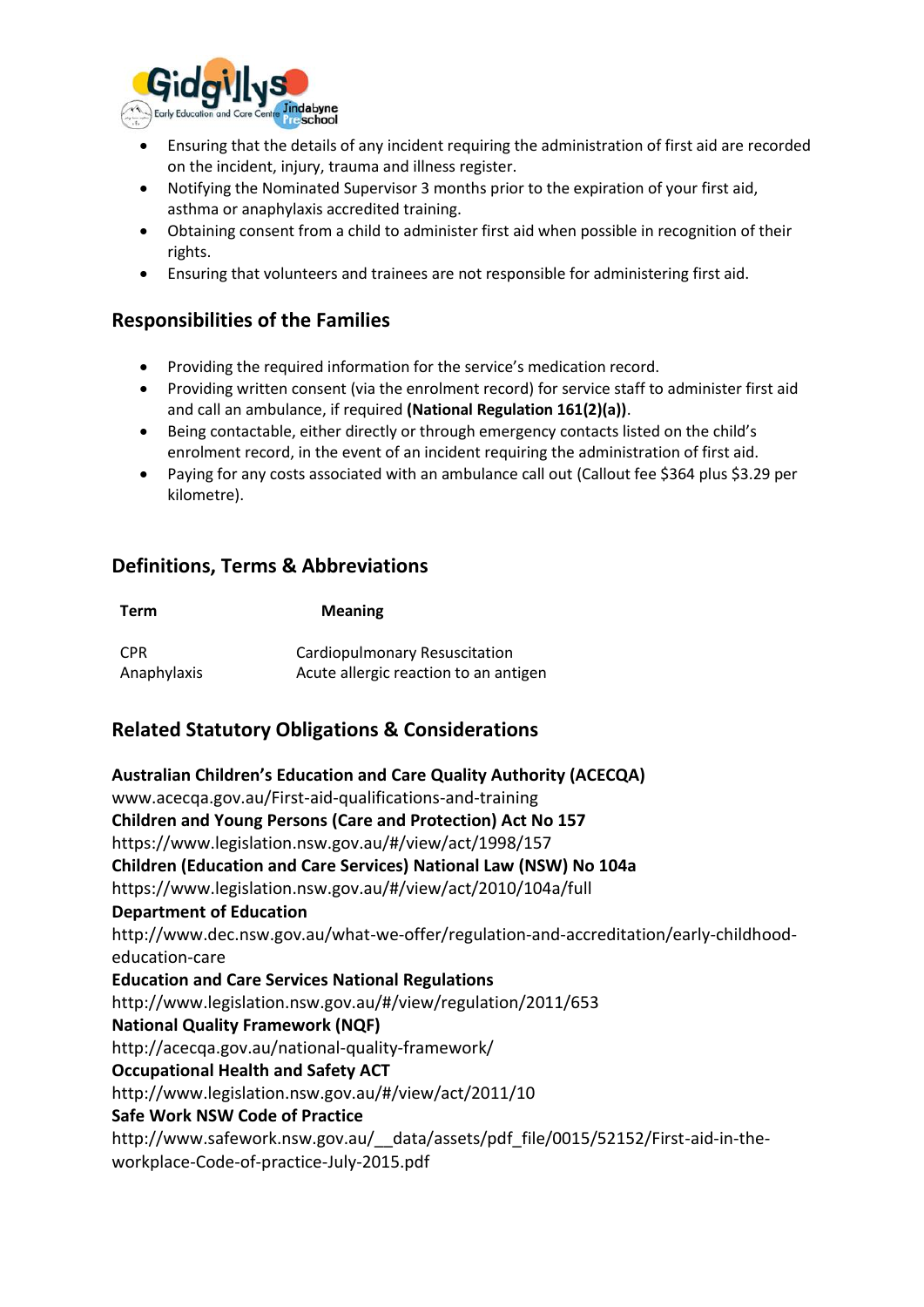

- Ensuring that the details of any incident requiring the administration of first aid are recorded on the incident, injury, trauma and illness register.
- Notifying the Nominated Supervisor 3 months prior to the expiration of your first aid, asthma or anaphylaxis accredited training.
- Obtaining consent from a child to administer first aid when possible in recognition of their rights.
- Ensuring that volunteers and trainees are not responsible for administering first aid.

# **Responsibilities of the Families**

- Providing the required information for the service's medication record.
- Providing written consent (via the enrolment record) for service staff to administer first aid and call an ambulance, if required **(National Regulation 161(2)(a))**.
- Being contactable, either directly or through emergency contacts listed on the child's enrolment record, in the event of an incident requiring the administration of first aid.
- Paying for any costs associated with an ambulance call out (Callout fee \$364 plus \$3.29 per kilometre).

# **Definitions, Terms & Abbreviations**

| Term             | <b>Meaning</b>                        |  |
|------------------|---------------------------------------|--|
| CPR <sup>.</sup> | Cardiopulmonary Resuscitation         |  |
| Anaphylaxis      | Acute allergic reaction to an antigen |  |

# **Related Statutory Obligations & Considerations**

**Australian Children's Education and Care Quality Authority (ACECQA)** www.acecqa.gov.au/First-aid-qualifications-and-training **Children and Young Persons (Care and Protection) Act No 157**  https://www.legislation.nsw.gov.au/#/view/act/1998/157 **Children (Education and Care Services) National Law (NSW) No 104a**  https://www.legislation.nsw.gov.au/#/view/act/2010/104a/full **Department of Education** http://www.dec.nsw.gov.au/what-we-offer/regulation-and-accreditation/early-childhoodeducation-care **Education and Care Services National Regulations**  http://www.legislation.nsw.gov.au/#/view/regulation/2011/653 **National Quality Framework (NQF)** http://acecqa.gov.au/national-quality-framework/ **Occupational Health and Safety ACT**  http://www.legislation.nsw.gov.au/#/view/act/2011/10 **Safe Work NSW Code of Practice** http://www.safework.nsw.gov.au/ data/assets/pdf file/0015/52152/First-aid-in-theworkplace-Code-of-practice-July-2015.pdf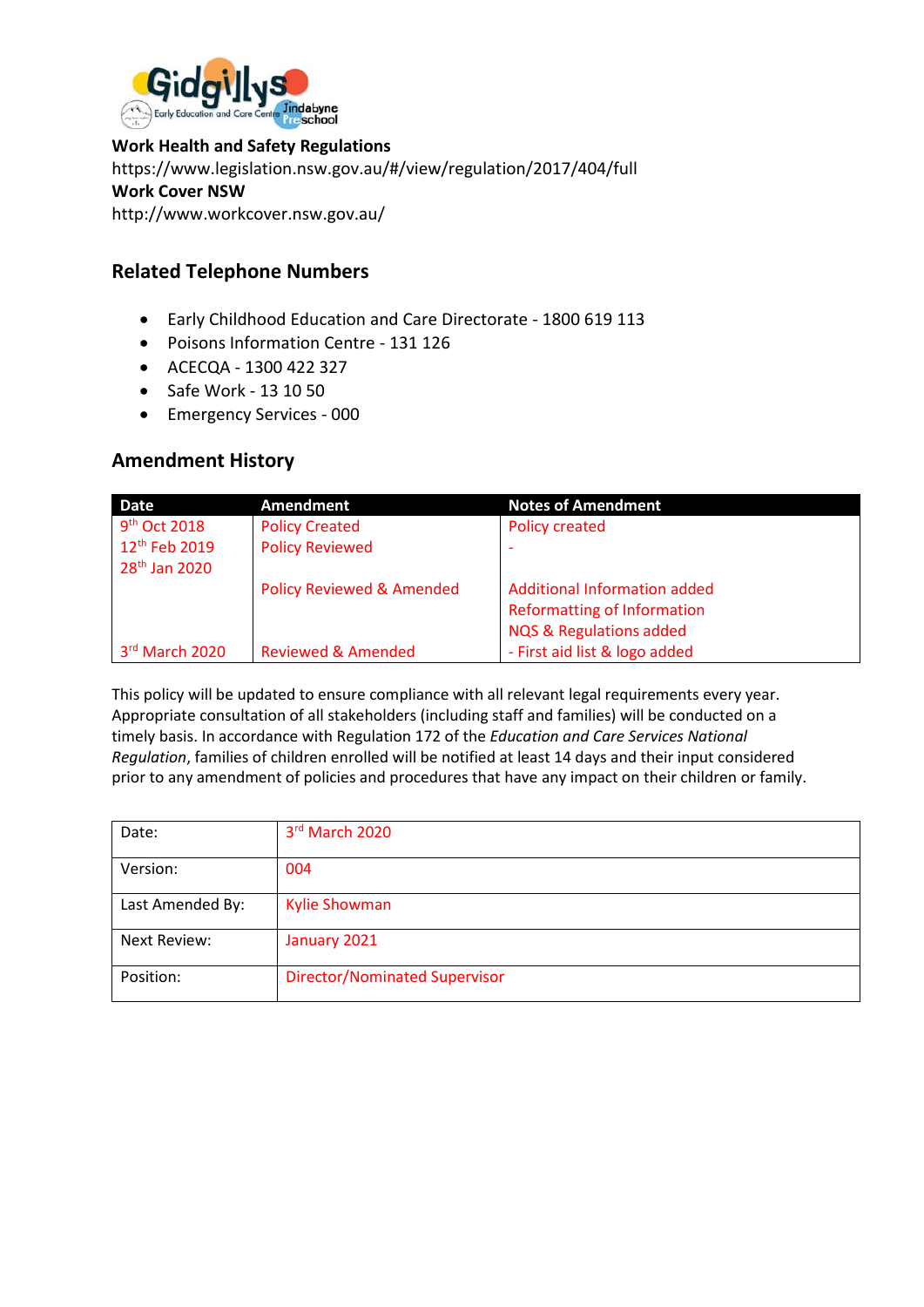

### **Work Health and Safety Regulations**

https://www.legislation.nsw.gov.au/#/view/regulation/2017/404/full **Work Cover NSW** http://www.workcover.nsw.gov.au/

## **Related Telephone Numbers**

- Early Childhood Education and Care Directorate 1800 619 113
- Poisons Information Centre 131 126
- ACECQA 1300 422 327
- Safe Work 13 10 50
- Emergency Services 000

### **Amendment History**

| <b>Date</b>               | <b>Amendment</b>                     | <b>Notes of Amendment</b>           |
|---------------------------|--------------------------------------|-------------------------------------|
| 9 <sup>th</sup> Oct 2018  | <b>Policy Created</b>                | <b>Policy created</b>               |
| 12 <sup>th</sup> Feb 2019 | <b>Policy Reviewed</b>               |                                     |
| 28 <sup>th</sup> Jan 2020 |                                      |                                     |
|                           | <b>Policy Reviewed &amp; Amended</b> | <b>Additional Information added</b> |
|                           |                                      | <b>Reformatting of Information</b>  |
|                           |                                      | <b>NQS &amp; Regulations added</b>  |
| 3rd March 2020            | <b>Reviewed &amp; Amended</b>        | - First aid list & logo added       |

This policy will be updated to ensure compliance with all relevant legal requirements every year. Appropriate consultation of all stakeholders (including staff and families) will be conducted on a timely basis. In accordance with Regulation 172 of the *Education and Care Services National Regulation*, families of children enrolled will be notified at least 14 days and their input considered prior to any amendment of policies and procedures that have any impact on their children or family.

| Date:            | 3rd March 2020                       |
|------------------|--------------------------------------|
| Version:         | 004                                  |
| Last Amended By: | <b>Kylie Showman</b>                 |
| Next Review:     | January 2021                         |
| Position:        | <b>Director/Nominated Supervisor</b> |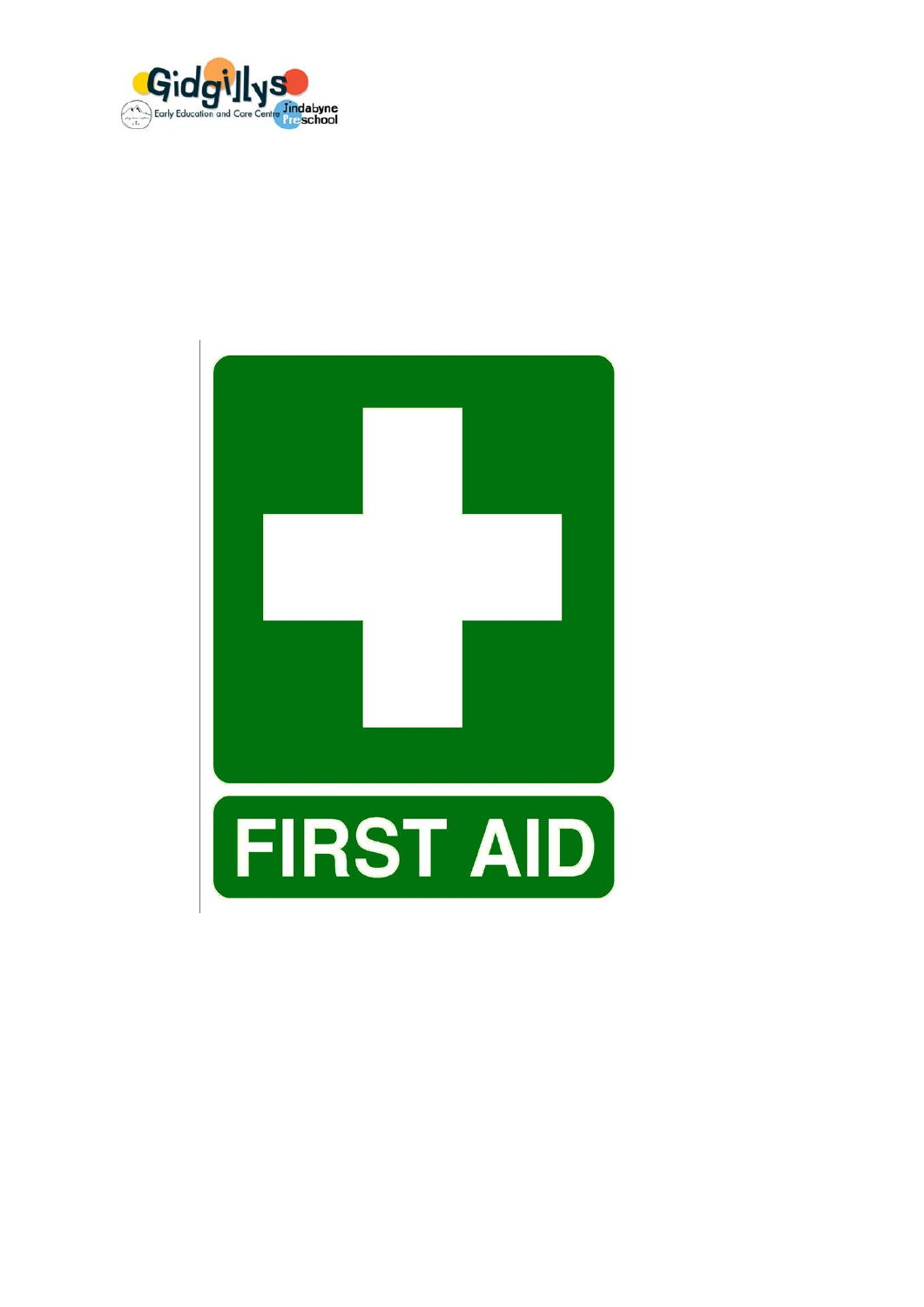